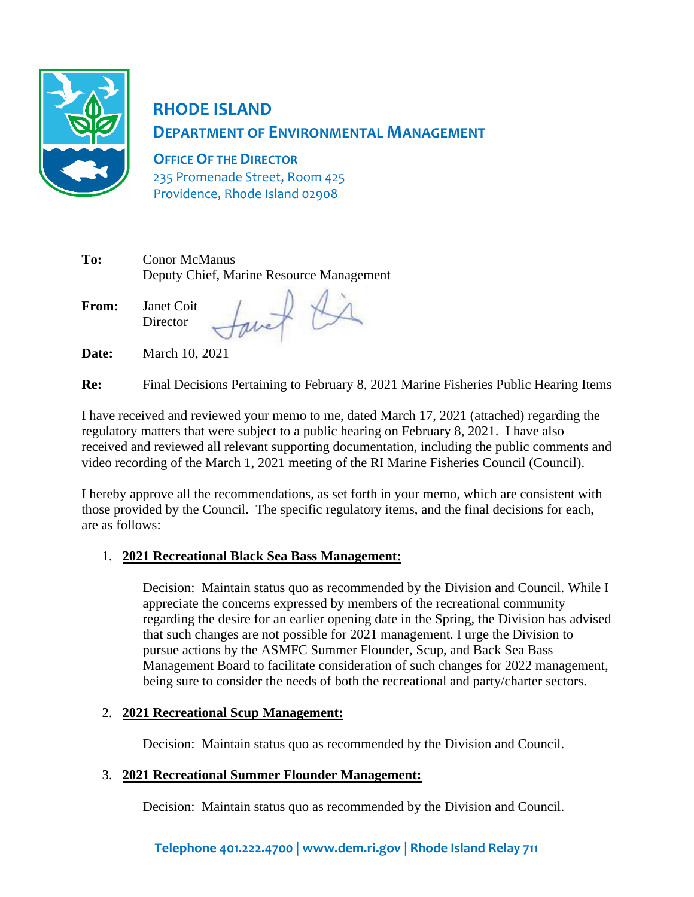

# **RHODE ISLAND DEPARTMENT OF ENVIRONMENTAL MANAGEMENT**

**OFFICE OF THE DIRECTOR** 235 Promenade Street, Room 425 Providence, Rhode Island 02908

| To:          | <b>Conor McManus</b><br>Deputy Chief, Marine Resource Management |  |  |
|--------------|------------------------------------------------------------------|--|--|
| <b>From:</b> | Janet Coit<br>Director                                           |  |  |

**Date:** March 10, 2021

**Re:** Final Decisions Pertaining to February 8, 2021 Marine Fisheries Public Hearing Items

I have received and reviewed your memo to me, dated March 17, 2021 (attached) regarding the regulatory matters that were subject to a public hearing on February 8, 2021. I have also received and reviewed all relevant supporting documentation, including the public comments and video recording of the March 1, 2021 meeting of the RI Marine Fisheries Council (Council).

I hereby approve all the recommendations, as set forth in your memo, which are consistent with those provided by the Council. The specific regulatory items, and the final decisions for each, are as follows:

#### 1. **2021 Recreational Black Sea Bass Management:**

Decision: Maintain status quo as recommended by the Division and Council. While I appreciate the concerns expressed by members of the recreational community regarding the desire for an earlier opening date in the Spring, the Division has advised that such changes are not possible for 2021 management. I urge the Division to pursue actions by the ASMFC Summer Flounder, Scup, and Back Sea Bass Management Board to facilitate consideration of such changes for 2022 management, being sure to consider the needs of both the recreational and party/charter sectors.

#### 2. **2021 Recreational Scup Management:**

Decision: Maintain status quo as recommended by the Division and Council.

#### 3. **2021 Recreational Summer Flounder Management:**

Decision: Maintain status quo as recommended by the Division and Council.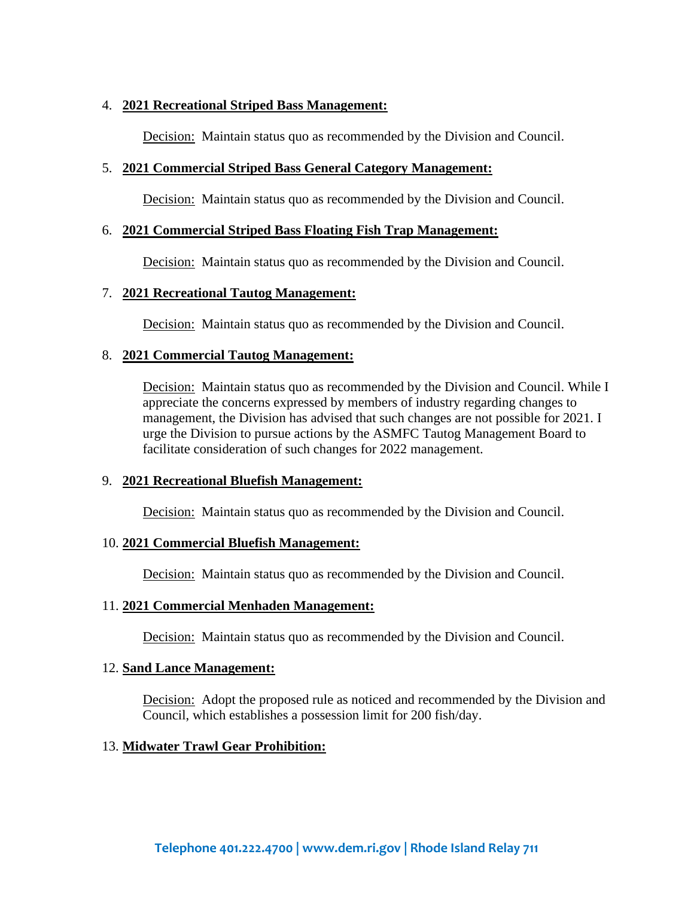#### 4. **2021 Recreational Striped Bass Management:**

Decision: Maintain status quo as recommended by the Division and Council.

#### 5. **2021 Commercial Striped Bass General Category Management:**

Decision: Maintain status quo as recommended by the Division and Council.

#### 6. **2021 Commercial Striped Bass Floating Fish Trap Management:**

Decision: Maintain status quo as recommended by the Division and Council.

#### 7. **2021 Recreational Tautog Management:**

Decision: Maintain status quo as recommended by the Division and Council.

#### 8. **2021 Commercial Tautog Management:**

Decision: Maintain status quo as recommended by the Division and Council. While I appreciate the concerns expressed by members of industry regarding changes to management, the Division has advised that such changes are not possible for 2021. I urge the Division to pursue actions by the ASMFC Tautog Management Board to facilitate consideration of such changes for 2022 management.

#### 9. **2021 Recreational Bluefish Management:**

Decision: Maintain status quo as recommended by the Division and Council.

#### 10. **2021 Commercial Bluefish Management:**

Decision: Maintain status quo as recommended by the Division and Council.

#### 11. **2021 Commercial Menhaden Management:**

Decision: Maintain status quo as recommended by the Division and Council.

#### 12. **Sand Lance Management:**

Decision: Adopt the proposed rule as noticed and recommended by the Division and Council, which establishes a possession limit for 200 fish/day.

#### 13. **Midwater Trawl Gear Prohibition:**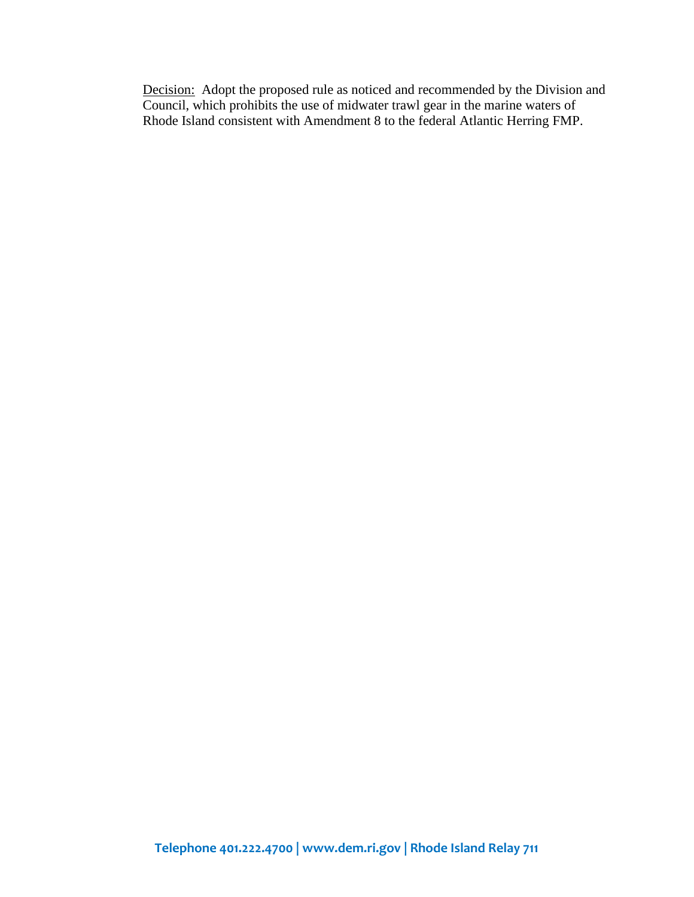Decision: Adopt the proposed rule as noticed and recommended by the Division and Council, which prohibits the use of midwater trawl gear in the marine waters of Rhode Island consistent with Amendment 8 to the federal Atlantic Herring FMP.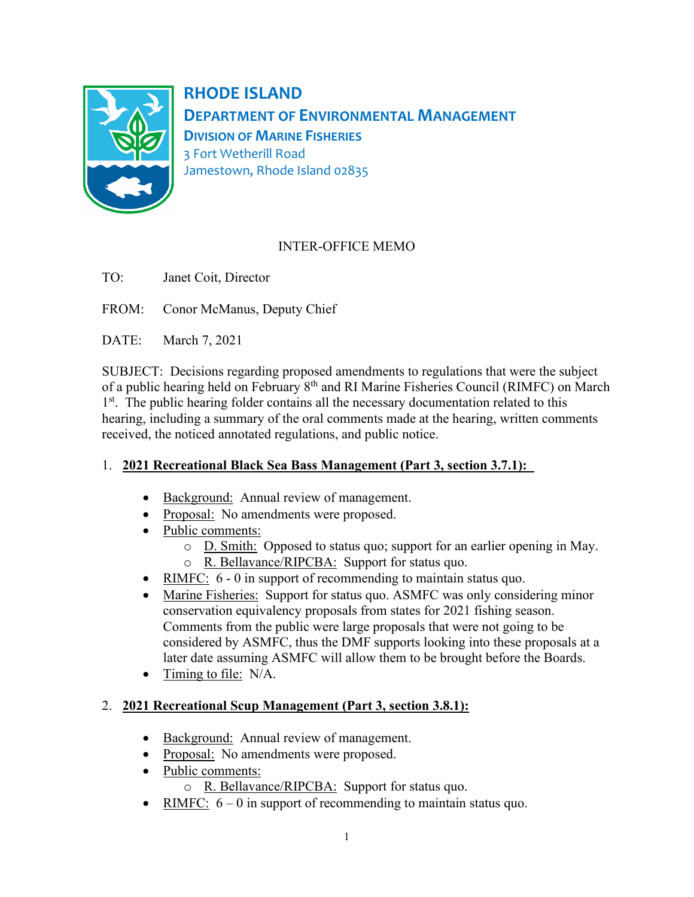

**RHODE ISLAND DEPARTMENT OF ENVIRONMENTAL MANAGEMENT DIVISION OF MARINE FISHERIES** 3 Fort Wetherill Road Jamestown, Rhode Island 02835

# INTER-OFFICE MEMO

TO: Janet Coit, Director

FROM: Conor McManus, Deputy Chief

DATE: March 7, 2021

SUBJECT: Decisions regarding proposed amendments to regulations that were the subject of a public hearing held on February 8<sup>th</sup> and RI Marine Fisheries Council (RIMFC) on March 1<sup>st</sup>. The public hearing folder contains all the necessary documentation related to this hearing, including a summary of the oral comments made at the hearing, written comments received, the noticed annotated regulations, and public notice.

# 1. **2021 Recreational Black Sea Bass Management (Part 3, section 3.7.1):**

- Background: Annual review of management.
- Proposal: No amendments were proposed.
- Public comments:
	- o D. Smith: Opposed to status quo; support for an earlier opening in May.
	- o R. Bellavance/RIPCBA: Support for status quo.
- RIMFC: 6 0 in support of recommending to maintain status quo.
- Marine Fisheries: Support for status quo. ASMFC was only considering minor conservation equivalency proposals from states for 2021 fishing season. Comments from the public were large proposals that were not going to be considered by ASMFC, thus the DMF supports looking into these proposals at a later date assuming ASMFC will allow them to be brought before the Boards.
- Timing to file: N/A.

# 2. **2021 Recreational Scup Management (Part 3, section 3.8.1):**

- Background: Annual review of management.
- Proposal: No amendments were proposed.
- Public comments:
	- o R. Bellavance/RIPCBA: Support for status quo.
- RIMFC:  $6 0$  in support of recommending to maintain status quo.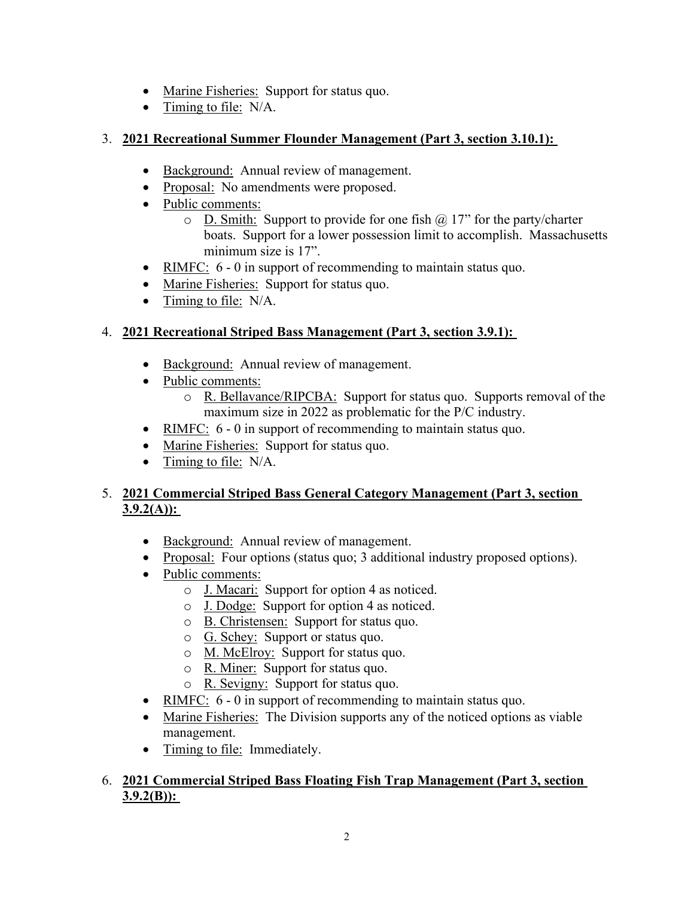- Marine Fisheries: Support for status quo.
- Timing to file: N/A.

## 3. **2021 Recreational Summer Flounder Management (Part 3, section 3.10.1):**

- Background: Annual review of management.
- Proposal: No amendments were proposed.
- Public comments:
	- $\circ$  D. Smith: Support to provide for one fish  $\omega$  17" for the party/charter boats. Support for a lower possession limit to accomplish. Massachusetts minimum size is 17".
- RIMFC: 6 0 in support of recommending to maintain status quo.
- Marine Fisheries: Support for status quo.
- Timing to file: N/A.

# 4. **2021 Recreational Striped Bass Management (Part 3, section 3.9.1):**

- Background: Annual review of management.
- Public comments:
	- o R. Bellavance/RIPCBA: Support for status quo. Supports removal of the maximum size in 2022 as problematic for the P/C industry.
- RIMFC: 6 0 in support of recommending to maintain status quo.
- Marine Fisheries: Support for status quo.
- Timing to file: N/A.

## 5. **2021 Commercial Striped Bass General Category Management (Part 3, section 3.9.2(A)):**

- Background: Annual review of management.
- Proposal: Four options (status quo; 3 additional industry proposed options).
- Public comments:
	- o J. Macari: Support for option 4 as noticed.
	- o J. Dodge: Support for option 4 as noticed.
	- o B. Christensen: Support for status quo.
	- o G. Schey: Support or status quo.
	- o M. McElroy: Support for status quo.
	- o R. Miner: Support for status quo.
	- o R. Sevigny: Support for status quo.
- RIMFC:  $6 0$  in support of recommending to maintain status quo.
- Marine Fisheries: The Division supports any of the noticed options as viable management.
- Timing to file: Immediately.

## 6. **2021 Commercial Striped Bass Floating Fish Trap Management (Part 3, section 3.9.2(B)):**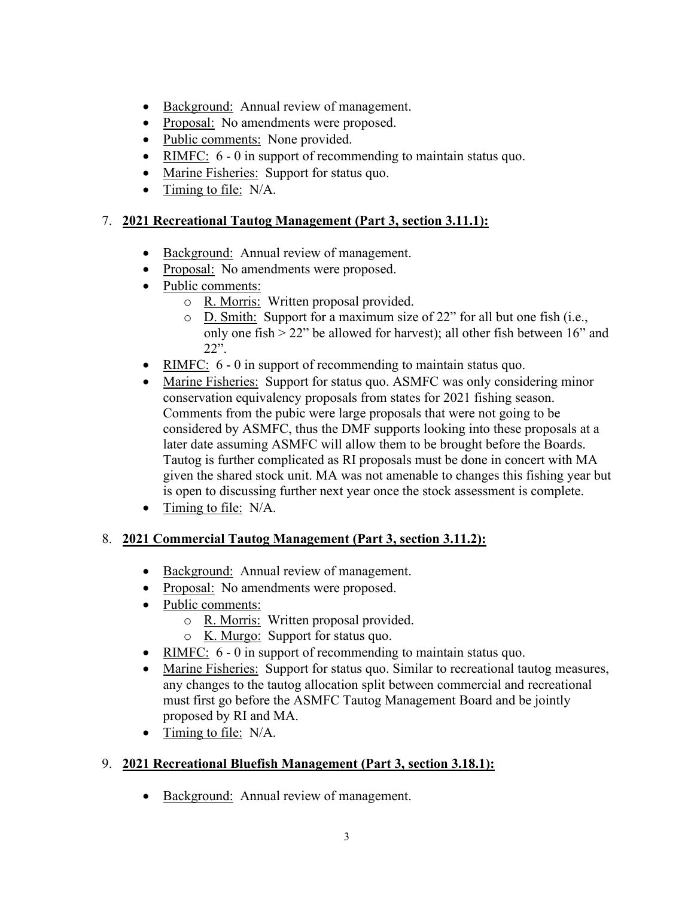- Background: Annual review of management.
- Proposal: No amendments were proposed.
- Public comments: None provided.
- RIMFC:  $6 0$  in support of recommending to maintain status quo.
- Marine Fisheries: Support for status quo.
- Timing to file: N/A.

## 7. **2021 Recreational Tautog Management (Part 3, section 3.11.1):**

- Background: Annual review of management.
- Proposal: No amendments were proposed.
- Public comments:
	- o R. Morris: Written proposal provided.
	- o D. Smith: Support for a maximum size of 22" for all but one fish (i.e., only one fish  $> 22$ " be allowed for harvest); all other fish between 16" and 22".
- RIMFC: 6 0 in support of recommending to maintain status quo.
- Marine Fisheries: Support for status quo. ASMFC was only considering minor conservation equivalency proposals from states for 2021 fishing season. Comments from the pubic were large proposals that were not going to be considered by ASMFC, thus the DMF supports looking into these proposals at a later date assuming ASMFC will allow them to be brought before the Boards. Tautog is further complicated as RI proposals must be done in concert with MA given the shared stock unit. MA was not amenable to changes this fishing year but is open to discussing further next year once the stock assessment is complete.
- Timing to file: N/A.

# 8. **2021 Commercial Tautog Management (Part 3, section 3.11.2):**

- Background: Annual review of management.
- Proposal: No amendments were proposed.
- Public comments:
	- o R. Morris: Written proposal provided.
	- o K. Murgo: Support for status quo.
- RIMFC:  $6 0$  in support of recommending to maintain status quo.
- Marine Fisheries: Support for status quo. Similar to recreational tautog measures, any changes to the tautog allocation split between commercial and recreational must first go before the ASMFC Tautog Management Board and be jointly proposed by RI and MA.
- Timing to file: N/A.

# 9. **2021 Recreational Bluefish Management (Part 3, section 3.18.1):**

• Background: Annual review of management.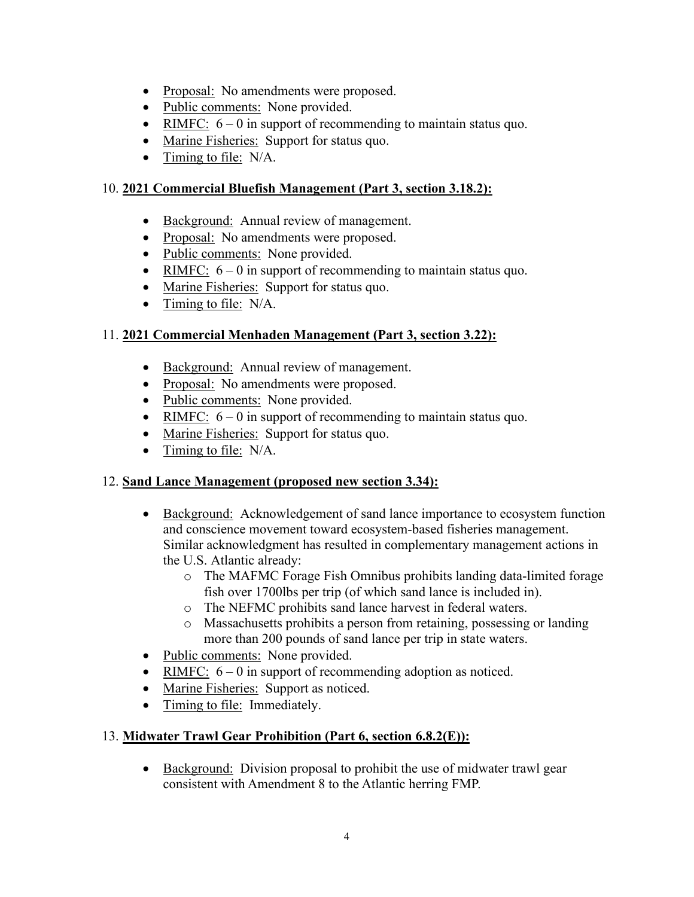- Proposal: No amendments were proposed.
- Public comments: None provided.
- RIMFC:  $6 0$  in support of recommending to maintain status quo.
- Marine Fisheries: Support for status quo.
- Timing to file: N/A.

# 10. **2021 Commercial Bluefish Management (Part 3, section 3.18.2):**

- Background: Annual review of management.
- Proposal: No amendments were proposed.
- Public comments: None provided.
- RIMFC:  $6 0$  in support of recommending to maintain status quo.
- Marine Fisheries: Support for status quo.
- Timing to file: N/A.

# 11. **2021 Commercial Menhaden Management (Part 3, section 3.22):**

- Background: Annual review of management.
- Proposal: No amendments were proposed.
- Public comments: None provided.
- RIMFC:  $6 0$  in support of recommending to maintain status quo.
- Marine Fisheries: Support for status quo.
- Timing to file: N/A.

# 12. **Sand Lance Management (proposed new section 3.34):**

- Background: Acknowledgement of sand lance importance to ecosystem function and conscience movement toward ecosystem-based fisheries management. Similar acknowledgment has resulted in complementary management actions in the U.S. Atlantic already:
	- o The MAFMC Forage Fish Omnibus prohibits landing data-limited forage fish over 1700lbs per trip (of which sand lance is included in).
	- o The NEFMC prohibits sand lance harvest in federal waters.
	- o Massachusetts prohibits a person from retaining, possessing or landing more than 200 pounds of sand lance per trip in state waters.
- Public comments: None provided.
- RIMFC:  $6 0$  in support of recommending adoption as noticed.
- Marine Fisheries: Support as noticed.
- Timing to file: Immediately.

# 13. **Midwater Trawl Gear Prohibition (Part 6, section 6.8.2(E)):**

• Background: Division proposal to prohibit the use of midwater trawl gear consistent with Amendment 8 to the Atlantic herring FMP.